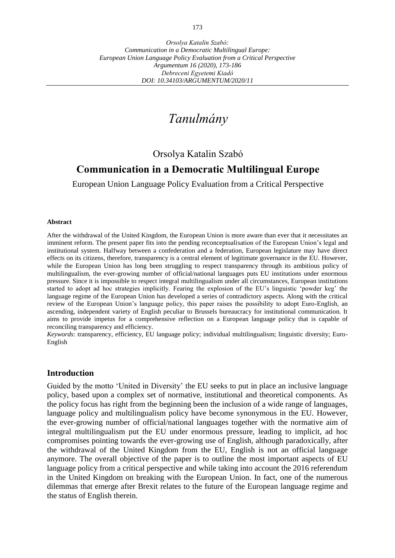*Orsolya Katalin Szabó: Communication in a Democratic Multilingual Europe: European Union Language Policy Evaluation from a Critical Perspective Argumentum 16 (2020), 173-186 Debreceni Egyetemi Kiadó DOI: 10.34103/ARGUMENTUM/2020/11*

# *Tanulmány*

## Orsolya Katalin Szabó

## **Communication in a Democratic Multilingual Europe**

European Union Language Policy Evaluation from a Critical Perspective

#### **Abstract**

After the withdrawal of the United Kingdom, the European Union is more aware than ever that it necessitates an imminent reform. The present paper fits into the pending reconceptualisation of the European Union's legal and institutional system. Halfway between a confederation and a federation, European legislature may have direct effects on its citizens, therefore, transparency is a central element of legitimate governance in the EU. However, while the European Union has long been struggling to respect transparency through its ambitious policy of multilingualism, the ever-growing number of official/national languages puts EU institutions under enormous pressure. Since it is impossible to respect integral multilingualism under all circumstances, European institutions started to adopt ad hoc strategies implicitly. Fearing the explosion of the EU's linguistic 'powder keg' the language regime of the European Union has developed a series of contradictory aspects. Along with the critical review of the European Union's language policy, this paper raises the possibility to adopt Euro-English, an ascending, independent variety of English peculiar to Brussels bureaucracy for institutional communication. It aims to provide impetus for a comprehensive reflection on a European language policy that is capable of reconciling transparency and efficiency.

*Keywords*: transparency, efficiency, EU language policy; individual multilingualism; linguistic diversity; Euro-English

## **Introduction**

Guided by the motto 'United in Diversity' the EU seeks to put in place an inclusive language policy, based upon a complex set of normative, institutional and theoretical components. As the policy focus has right from the beginning been the inclusion of a wide range of languages, language policy and multilingualism policy have become synonymous in the EU. However, the ever-growing number of official/national languages together with the normative aim of integral multilingualism put the EU under enormous pressure, leading to implicit, ad hoc compromises pointing towards the ever-growing use of English, although paradoxically, after the withdrawal of the United Kingdom from the EU, English is not an official language anymore. The overall objective of the paper is to outline the most important aspects of EU language policy from a critical perspective and while taking into account the 2016 referendum in the United Kingdom on breaking with the European Union. In fact, one of the numerous dilemmas that emerge after Brexit relates to the future of the European language regime and the status of English therein.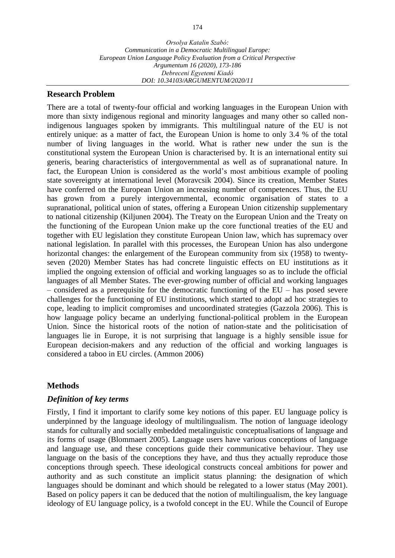## **Research Problem**

There are a total of twenty-four official and working languages in the European Union with more than sixty indigenous regional and minority languages and many other so called nonindigenous languages spoken by immigrants. This multilingual nature of the EU is not entirely unique: as a matter of fact, the European Union is home to only 3.4 % of the total number of living languages in the world. What is rather new under the sun is the constitutional system the European Union is characterised by. It is an international entity sui generis, bearing characteristics of intergovernmental as well as of supranational nature. In fact, the European Union is considered as the world's most ambitious example of pooling state sovereignty at international level (Moravcsik 2004). Since its creation, Member States have conferred on the European Union an increasing number of competences. Thus, the EU has grown from a purely intergovernmental, economic organisation of states to a supranational, political union of states, offering a European Union citizenship supplementary to national citizenship (Kiljunen 2004). The Treaty on the European Union and the Treaty on the functioning of the European Union make up the core functional treaties of the EU and together with EU legislation they constitute European Union law, which has supremacy over national legislation. In parallel with this processes, the European Union has also undergone horizontal changes: the enlargement of the European community from six (1958) to twentyseven (2020) Member States has had concrete linguistic effects on EU institutions as it implied the ongoing extension of official and working languages so as to include the official languages of all Member States. The ever-growing number of official and working languages – considered as a prerequisite for the democratic functioning of the EU – has posed severe challenges for the functioning of EU institutions, which started to adopt ad hoc strategies to cope, leading to implicit compromises and uncoordinated strategies (Gazzola 2006). This is how language policy became an underlying functional-political problem in the European Union. Since the historical roots of the notion of nation-state and the politicisation of languages lie in Europe, it is not surprising that language is a highly sensible issue for European decision-makers and any reduction of the official and working languages is considered a taboo in EU circles. (Ammon 2006)

## **Methods**

## *Definition of key terms*

Firstly, I find it important to clarify some key notions of this paper. EU language policy is underpinned by the language ideology of multilingualism. The notion of language ideology stands for culturally and socially embedded metalinguistic conceptualisations of language and its forms of usage (Blommaert 2005). Language users have various conceptions of language and language use, and these conceptions guide their communicative behaviour. They use language on the basis of the conceptions they have, and thus they actually reproduce those conceptions through speech. These ideological constructs conceal ambitions for power and authority and as such constitute an implicit status planning: the designation of which languages should be dominant and which should be relegated to a lower status (May 2001). Based on policy papers it can be deduced that the notion of multilingualism, the key language ideology of EU language policy, is a twofold concept in the EU. While the Council of Europe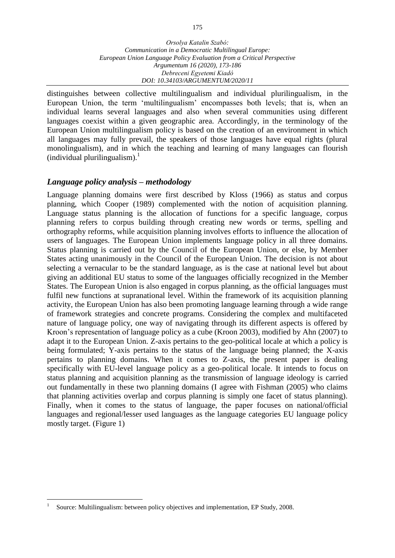distinguishes between collective multilingualism and individual plurilingualism, in the European Union, the term 'multilingualism' encompasses both levels; that is, when an individual learns several languages and also when several communities using different languages coexist within a given geographic area. Accordingly, in the terminology of the European Union multilingualism policy is based on the creation of an environment in which all languages may fully prevail, the speakers of those languages have equal rights (plural monolingualism), and in which the teaching and learning of many languages can flourish (individual plurilingualism). $\frac{1}{1}$ 

## *Language policy analysis – methodology*

Language planning domains were first described by Kloss (1966) as status and corpus planning, which Cooper (1989) complemented with the notion of acquisition planning. Language status planning is the allocation of functions for a specific language, corpus planning refers to corpus building through creating new words or terms, spelling and orthography reforms, while acquisition planning involves efforts to influence the allocation of users of languages. The European Union implements language policy in all three domains. Status planning is carried out by the Council of the European Union, or else, by Member States acting unanimously in the Council of the European Union. The decision is not about selecting a vernacular to be the standard language, as is the case at national level but about giving an additional EU status to some of the languages officially recognized in the Member States. The European Union is also engaged in corpus planning, as the official languages must fulfil new functions at supranational level. Within the framework of its acquisition planning activity, the European Union has also been promoting language learning through a wide range of framework strategies and concrete programs. Considering the complex and multifaceted nature of language policy, one way of navigating through its different aspects is offered by Kroon's representation of language policy as a cube (Kroon 2003), modified by Ahn (2007) to adapt it to the European Union. Z-axis pertains to the geo-political locale at which a policy is being formulated; Y-axis pertains to the status of the language being planned; the X-axis pertains to planning domains. When it comes to Z-axis, the present paper is dealing specifically with EU-level language policy as a geo-political locale. It intends to focus on status planning and acquisition planning as the transmission of language ideology is carried out fundamentally in these two planning domains (I agree with Fishman (2005) who claims that planning activities overlap and corpus planning is simply one facet of status planning). Finally, when it comes to the status of language, the paper focuses on national/official languages and regional/lesser used languages as the language categories EU language policy mostly target. (Figure 1)

 $\overline{a}$ 1 Source: Multilingualism: between policy objectives and implementation, EP Study, 2008.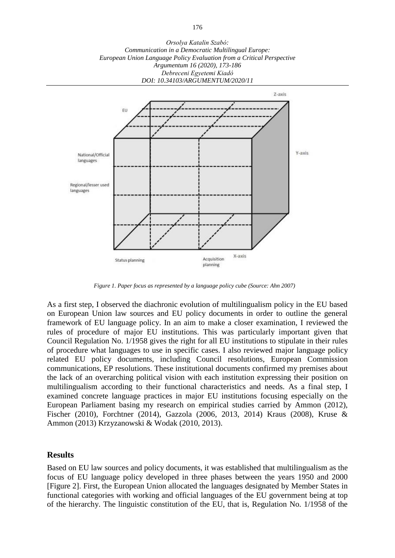*Orsolya Katalin Szabó: Communication in a Democratic Multilingual Europe: European Union Language Policy Evaluation from a Critical Perspective Argumentum 16 (2020), 173-186 Debreceni Egyetemi Kiadó DOI: 10.34103/ARGUMENTUM/2020/11*



*Figure 1. Paper focus as represented by a language policy cube (Source: Ahn 2007)*

As a first step, I observed the diachronic evolution of multilingualism policy in the EU based on European Union law sources and EU policy documents in order to outline the general framework of EU language policy. In an aim to make a closer examination, I reviewed the rules of procedure of major EU institutions. This was particularly important given that Council Regulation No. 1/1958 gives the right for all EU institutions to stipulate in their rules of procedure what languages to use in specific cases. I also reviewed major language policy related EU policy documents, including Council resolutions, European Commission communications, EP resolutions. These institutional documents confirmed my premises about the lack of an overarching political vision with each institution expressing their position on multilingualism according to their functional characteristics and needs. As a final step, I examined concrete language practices in major EU institutions focusing especially on the European Parliament basing my research on empirical studies carried by Ammon (2012), Fischer (2010), Forchtner (2014), Gazzola (2006, 2013, 2014) Kraus (2008), Kruse & Ammon (2013) Krzyzanowski & Wodak (2010, 2013).

#### **Results**

Based on EU law sources and policy documents, it was established that multilingualism as the focus of EU language policy developed in three phases between the years 1950 and 2000 [Figure 2]. First, the European Union allocated the languages designated by Member States in functional categories with working and official languages of the EU government being at top of the hierarchy. The linguistic constitution of the EU, that is, Regulation No. 1/1958 of the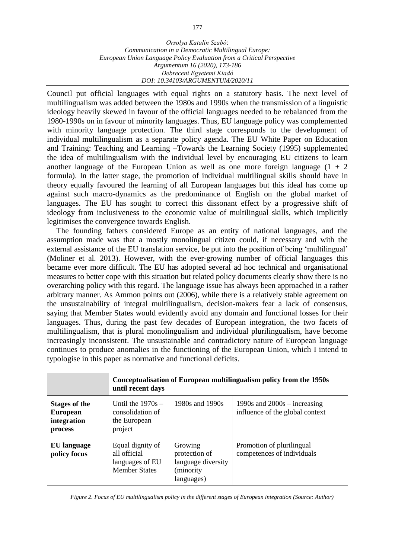Council put official languages with equal rights on a statutory basis. The next level of multilingualism was added between the 1980s and 1990s when the transmission of a linguistic ideology heavily skewed in favour of the official languages needed to be rebalanced from the 1980-1990s on in favour of minority languages. Thus, EU language policy was complemented with minority language protection. The third stage corresponds to the development of individual multilingualism as a separate policy agenda. The EU White Paper on Education and Training: Teaching and Learning –Towards the Learning Society (1995) supplemented the idea of multilingualism with the individual level by encouraging EU citizens to learn another language of the European Union as well as one more foreign language  $(1 + 2)$ formula). In the latter stage, the promotion of individual multilingual skills should have in theory equally favoured the learning of all European languages but this ideal has come up against such macro-dynamics as the predominance of English on the global market of languages. The EU has sought to correct this dissonant effect by a progressive shift of ideology from inclusiveness to the economic value of multilingual skills, which implicitly legitimises the convergence towards English.

The founding fathers considered Europe as an entity of national languages, and the assumption made was that a mostly monolingual citizen could, if necessary and with the external assistance of the EU translation service, be put into the position of being 'multilingual' (Moliner et al. 2013). However, with the ever-growing number of official languages this became ever more difficult. The EU has adopted several ad hoc technical and organisational measures to better cope with this situation but related policy documents clearly show there is no overarching policy with this regard. The language issue has always been approached in a rather arbitrary manner. As Ammon points out (2006), while there is a relatively stable agreement on the unsustainability of integral multilingualism, decision-makers fear a lack of consensus, saying that Member States would evidently avoid any domain and functional losses for their languages. Thus, during the past few decades of European integration, the two facets of multilingualism, that is plural monolingualism and individual plurilingualism, have become increasingly inconsistent. The unsustainable and contradictory nature of European language continues to produce anomalies in the functioning of the European Union, which I intend to typologise in this paper as normative and functional deficits.

|                                                                   | Conceptualisation of European multilingualism policy from the 1950s<br>until recent days |                                                                            |                                                                   |
|-------------------------------------------------------------------|------------------------------------------------------------------------------------------|----------------------------------------------------------------------------|-------------------------------------------------------------------|
| <b>Stages of the</b><br><b>European</b><br>integration<br>process | Until the $1970s -$<br>consolidation of<br>the European<br>project                       | 1980s and 1990s                                                            | 1990s and $2000s - increasing$<br>influence of the global context |
| EU language<br>policy focus                                       | Equal dignity of<br>all official<br>languages of EU<br><b>Member States</b>              | Growing<br>protection of<br>language diversity<br>(minority)<br>languages) | Promotion of plurilingual<br>competences of individuals           |

*Figure 2. Focus of EU multilingualism policy in the different stages of European integration (Source: Author)*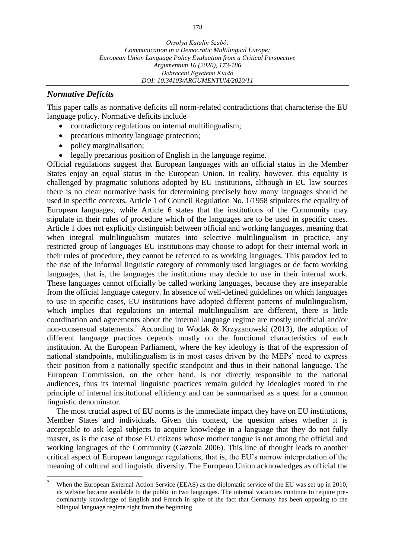## *Normative Deficits*

This paper calls as normative deficits all norm-related contradictions that characterise the EU language policy. Normative deficits include

- contradictory regulations on internal multilingualism;
- precarious minority language protection;
- policy marginalisation;
- legally precarious position of English in the language regime.

Official regulations suggest that European languages with an official status in the Member States enjoy an equal status in the European Union. In reality, however, this equality is challenged by pragmatic solutions adopted by EU institutions, although in EU law sources there is no clear normative basis for determining precisely how many languages should be used in specific contexts. Article 1 of Council Regulation No. 1/1958 stipulates the equality of European languages, while Article 6 states that the institutions of the Community may stipulate in their rules of procedure which of the languages are to be used in specific cases. Article 1 does not explicitly distinguish between official and working languages, meaning that when integral multilingualism mutates into selective multilingualism in practice, any restricted group of languages EU institutions may choose to adopt for their internal work in their rules of procedure, they cannot be referred to as working languages. This paradox led to the rise of the informal linguistic category of commonly used languages or de facto working languages, that is, the languages the institutions may decide to use in their internal work. These languages cannot officially be called working languages, because they are inseparable from the official language category. In absence of well-defined guidelines on which languages to use in specific cases, EU institutions have adopted different patterns of multilingualism, which implies that regulations on internal multilingualism are different, there is little coordination and agreements about the internal language regime are mostly unofficial and/or non-consensual statements.<sup>2</sup> According to Wodak & Krzyzanowski (2013), the adoption of different language practices depends mostly on the functional characteristics of each institution. At the European Parliament, where the key ideology is that of the expression of national standpoints, multilingualism is in most cases driven by the MEPs' need to express their position from a nationally specific standpoint and thus in their national language. The European Commission, on the other hand, is not directly responsible to the national audiences, thus its internal linguistic practices remain guided by ideologies rooted in the principle of internal institutional efficiency and can be summarised as a quest for a common linguistic denominator.

The most crucial aspect of EU norms is the immediate impact they have on EU institutions, Member States and individuals. Given this context, the question arises whether it is acceptable to ask legal subjects to acquire knowledge in a language that they do not fully master, as is the case of those EU citizens whose mother tongue is not among the official and working languages of the Community (Gazzola 2006). This line of thought leads to another critical aspect of European language regulations, that is, the EU's narrow interpretation of the meaning of cultural and linguistic diversity. The European Union acknowledges as official the

 $\overline{a}$ <sup>2</sup> When the European External Action Service (EEAS) as the diplomatic service of the EU was set up in 2010, its website became available to the public in two languages. The internal vacancies continue to require predominantly knowledge of English and French in spite of the fact that Germany has been opposing to the bilingual language regime right from the beginning.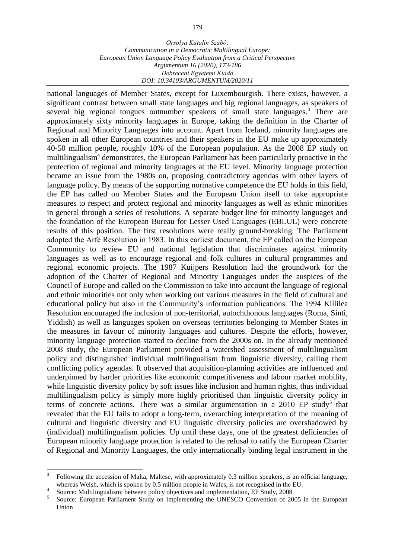national languages of Member States, except for Luxembourgish. There exists, however, a significant contrast between small state languages and big regional languages, as speakers of several big regional tongues outnumber speakers of small state languages.<sup>3</sup> There are approximately sixty minority languages in Europe, taking the definition in the Charter of Regional and Minority Languages into account. Apart from Iceland, minority languages are spoken in all other European countries and their speakers in the EU make up approximately 40-50 million people, roughly 10% of the European population. As the 2008 EP study on multilingualism<sup>4</sup> demonstrates, the European Parliament has been particularly proactive in the protection of regional and minority languages at the EU level. Minority language protection became an issue from the 1980s on, proposing contradictory agendas with other layers of language policy. By means of the supporting normative competence the EU holds in this field, the EP has called on Member States and the European Union itself to take appropriate measures to respect and protect regional and minority languages as well as ethnic minorities in general through a series of resolutions. A separate budget line for minority languages and the foundation of the European Bureau for Lesser Used Languages (EBLUL) were concrete results of this position. The first resolutions were really ground-breaking. The Parliament adopted the Arfé Resolution in 1983. In this earliest document, the EP called on the European Community to review EU and national legislation that discriminates against minority languages as well as to encourage regional and folk cultures in cultural programmes and regional economic projects. The 1987 Kuijpers Resolution laid the groundwork for the adoption of the Charter of Regional and Minority Languages under the auspices of the Council of Europe and called on the Commission to take into account the language of regional and ethnic minorities not only when working out various measures in the field of cultural and educational policy but also in the Community's information publications. The 1994 Killilea Resolution encouraged the inclusion of non-territorial, autochthonous languages (Roma, Sinti, Yiddish) as well as languages spoken on overseas territories belonging to Member States in the measures in favour of minority languages and cultures. Despite the efforts, however, minority language protection started to decline from the 2000s on. In the already mentioned 2008 study, the European Parliament provided a watershed assessment of multilingualism policy and distinguished individual multilingualism from linguistic diversity, calling them conflicting policy agendas. It observed that acquisition-planning activities are influenced and underpinned by harder priorities like economic competitiveness and labour market mobility, while linguistic diversity policy by soft issues like inclusion and human rights, thus individual multilingualism policy is simply more highly prioritised than linguistic diversity policy in terms of concrete actions. There was a similar argumentation in a  $2010$  EP study<sup>5</sup> that revealed that the EU fails to adopt a long-term, overarching interpretation of the meaning of cultural and linguistic diversity and EU linguistic diversity policies are overshadowed by (individual) multilingualism policies. Up until these days, one of the greatest deficiencies of European minority language protection is related to the refusal to ratify the European Charter of Regional and Minority Languages, the only internationally binding legal instrument in the

 $\overline{a}$ 

<sup>3</sup> Following the accession of Malta, Maltese, with approximately 0.3 million speakers, is an official language, whereas Welsh, which is spoken by 0.5 million people in Wales, is not recognised in the EU.

<sup>4</sup> Source: Multilingualism: between policy objectives and implementation, EP Study, 2008

<sup>5</sup> Source: European Parliament Study on Implementing the UNESCO Convention of 2005 in the European Union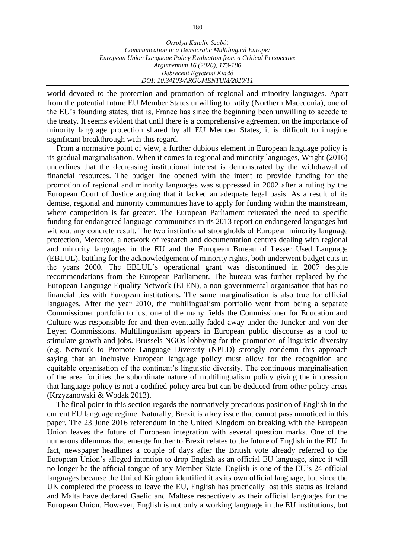world devoted to the protection and promotion of regional and minority languages. Apart from the potential future EU Member States unwilling to ratify (Northern Macedonia), one of the EU's founding states, that is, France has since the beginning been unwilling to accede to the treaty. It seems evident that until there is a comprehensive agreement on the importance of minority language protection shared by all EU Member States, it is difficult to imagine significant breakthrough with this regard.

From a normative point of view, a further dubious element in European language policy is its gradual marginalisation. When it comes to regional and minority languages, Wright (2016) underlines that the decreasing institutional interest is demonstrated by the withdrawal of financial resources. The budget line opened with the intent to provide funding for the promotion of regional and minority languages was suppressed in 2002 after a ruling by the European Court of Justice arguing that it lacked an adequate legal basis. As a result of its demise, regional and minority communities have to apply for funding within the mainstream, where competition is far greater. The European Parliament reiterated the need to specific funding for endangered language communities in its 2013 report on endangered languages but without any concrete result. The two institutional strongholds of European minority language protection, Mercator, a network of research and documentation centres dealing with regional and minority languages in the EU and the European Bureau of Lesser Used Language (EBLUL), battling for the acknowledgement of minority rights, both underwent budget cuts in the years 2000. The EBLUL's operational grant was discontinued in 2007 despite recommendations from the European Parliament. The bureau was further replaced by the European Language Equality Network (ELEN), a non-governmental organisation that has no financial ties with European institutions. The same marginalisation is also true for official languages. After the year 2010, the multilingualism portfolio went from being a separate Commissioner portfolio to just one of the many fields the Commissioner for Education and Culture was responsible for and then eventually faded away under the Juncker and von der Leyen Commissions. Multilingualism appears in European public discourse as a tool to stimulate growth and jobs. Brussels NGOs lobbying for the promotion of linguistic diversity (e.g. Network to Promote Language Diversity (NPLD) strongly condemn this approach saying that an inclusive European language policy must allow for the recognition and equitable organisation of the continent's linguistic diversity. The continuous marginalisation of the area fortifies the subordinate nature of multilingualism policy giving the impression that language policy is not a codified policy area but can be deduced from other policy areas (Krzyzanowski & Wodak 2013).

The final point in this section regards the normatively precarious position of English in the current EU language regime. Naturally, Brexit is a key issue that cannot pass unnoticed in this paper. The 23 June 2016 referendum in the United Kingdom on breaking with the European Union leaves the future of European integration with several question marks. One of the numerous dilemmas that emerge further to Brexit relates to the future of English in the EU. In fact, newspaper headlines a couple of days after the British vote already referred to the European Union's alleged intention to drop English as an official EU language, since it will no longer be the official tongue of any Member State. English is one of the EU's 24 official languages because the United Kingdom identified it as its own official language, but since the UK completed the process to leave the EU, English has practically lost this status as Ireland and Malta have declared Gaelic and Maltese respectively as their official languages for the European Union. However, English is not only a working language in the EU institutions, but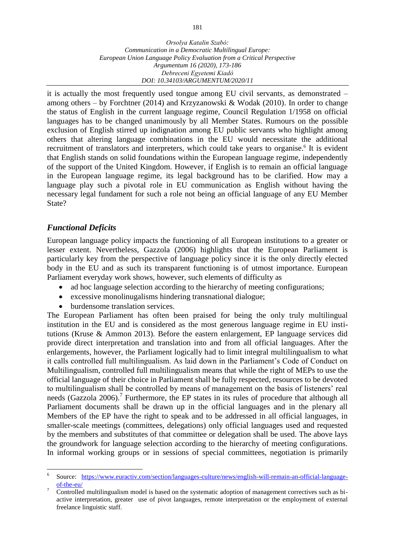it is actually the most frequently used tongue among EU civil servants, as demonstrated – among others – by Forchtner (2014) and Krzyzanowski & Wodak (2010). In order to change the status of English in the current language regime, Council Regulation 1/1958 on official languages has to be changed unanimously by all Member States. Rumours on the possible exclusion of English stirred up indignation among EU public servants who highlight among others that altering language combinations in the EU would necessitate the additional recruitment of translators and interpreters, which could take years to organise.<sup>6</sup> It is evident that English stands on solid foundations within the European language regime, independently of the support of the United Kingdom. However, if English is to remain an official language in the European language regime, its legal background has to be clarified. How may a language play such a pivotal role in EU communication as English without having the necessary legal fundament for such a role not being an official language of any EU Member State?

## *Functional Deficits*

 $\overline{a}$ 

European language policy impacts the functioning of all European institutions to a greater or lesser extent. Nevertheless, Gazzola (2006) highlights that the European Parliament is particularly key from the perspective of language policy since it is the only directly elected body in the EU and as such its transparent functioning is of utmost importance. European Parliament everyday work shows, however, such elements of difficulty as

- ad hoc language selection according to the hierarchy of meeting configurations;
- excessive monolinugalisms hindering transnational dialogue;
- burdensome translation services.

The European Parliament has often been praised for being the only truly multilingual institution in the EU and is considered as the most generous language regime in EU institutions (Kruse & Ammon 2013). Before the eastern enlargement, EP language services did provide direct interpretation and translation into and from all official languages. After the enlargements, however, the Parliament logically had to limit integral multilingualism to what it calls controlled full multilingualism. As laid down in the Parliament's Code of Conduct on Multilingualism, controlled full multilingualism means that while the right of MEPs to use the official language of their choice in Parliament shall be fully respected, resources to be devoted to multilingualism shall be controlled by means of management on the basis of listeners' real needs (Gazzola 2006).<sup>7</sup> Furthermore, the EP states in its rules of procedure that although all Parliament documents shall be drawn up in the official languages and in the plenary all Members of the EP have the right to speak and to be addressed in all official languages, in smaller-scale meetings (committees, delegations) only official languages used and requested by the members and substitutes of that committee or delegation shall be used. The above lays the groundwork for language selection according to the hierarchy of meeting configurations. In informal working groups or in sessions of special committees, negotiation is primarily

<sup>6</sup> Source: [https://www.euractiv.com/section/languages-culture/news/english-will-remain-an-official-language](https://www.euractiv.com/section/languages-culture/news/english-will-remain-an-official-language-of-the-eu/)[of-the-eu/](https://www.euractiv.com/section/languages-culture/news/english-will-remain-an-official-language-of-the-eu/)

<sup>7</sup> Controlled multilingualism model is based on the systematic adoption of management correctives such as biactive interpretation, greater use of pivot languages, remote interpretation or the employment of external freelance linguistic staff.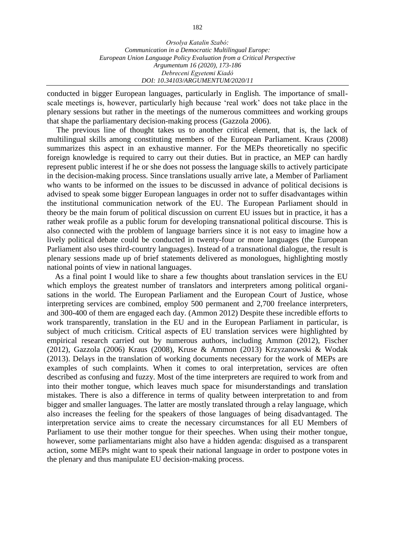conducted in bigger European languages, particularly in English. The importance of smallscale meetings is, however, particularly high because 'real work' does not take place in the plenary sessions but rather in the meetings of the numerous committees and working groups that shape the parliamentary decision-making process (Gazzola 2006).

The previous line of thought takes us to another critical element, that is, the lack of multilingual skills among constituting members of the European Parliament. Kraus (2008) summarizes this aspect in an exhaustive manner. For the MEPs theoretically no specific foreign knowledge is required to carry out their duties. But in practice, an MEP can hardly represent public interest if he or she does not possess the language skills to actively participate in the decision-making process. Since translations usually arrive late, a Member of Parliament who wants to be informed on the issues to be discussed in advance of political decisions is advised to speak some bigger European languages in order not to suffer disadvantages within the institutional communication network of the EU. The European Parliament should in theory be the main forum of political discussion on current EU issues but in practice, it has a rather weak profile as a public forum for developing transnational political discourse. This is also connected with the problem of language barriers since it is not easy to imagine how a lively political debate could be conducted in twenty-four or more languages (the European Parliament also uses third-country languages). Instead of a transnational dialogue, the result is plenary sessions made up of brief statements delivered as monologues, highlighting mostly national points of view in national languages.

As a final point I would like to share a few thoughts about translation services in the EU which employs the greatest number of translators and interpreters among political organisations in the world. The European Parliament and the European Court of Justice, whose interpreting services are combined, employ 500 permanent and 2,700 freelance interpreters, and 300-400 of them are engaged each day. (Ammon 2012) Despite these incredible efforts to work transparently, translation in the EU and in the European Parliament in particular, is subject of much criticism. Critical aspects of EU translation services were highlighted by empirical research carried out by numerous authors, including Ammon (2012), Fischer (2012), Gazzola (2006) Kraus (2008), Kruse & Ammon (2013) Krzyzanowski & Wodak (2013). Delays in the translation of working documents necessary for the work of MEPs are examples of such complaints. When it comes to oral interpretation, services are often described as confusing and fuzzy. Most of the time interpreters are required to work from and into their mother tongue, which leaves much space for misunderstandings and translation mistakes. There is also a difference in terms of quality between interpretation to and from bigger and smaller languages. The latter are mostly translated through a relay language, which also increases the feeling for the speakers of those languages of being disadvantaged. The interpretation service aims to create the necessary circumstances for all EU Members of Parliament to use their mother tongue for their speeches. When using their mother tongue, however, some parliamentarians might also have a hidden agenda: disguised as a transparent action, some MEPs might want to speak their national language in order to postpone votes in the plenary and thus manipulate EU decision-making process.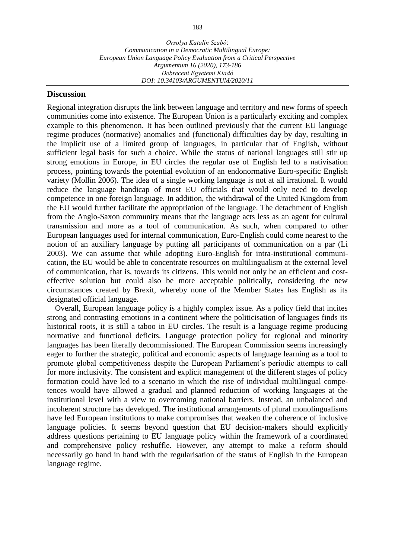#### **Discussion**

Regional integration disrupts the link between language and territory and new forms of speech communities come into existence. The European Union is a particularly exciting and complex example to this phenomenon. It has been outlined previously that the current EU language regime produces (normative) anomalies and (functional) difficulties day by day, resulting in the implicit use of a limited group of languages, in particular that of English, without sufficient legal basis for such a choice. While the status of national languages still stir up strong emotions in Europe, in EU circles the regular use of English led to a nativisation process, pointing towards the potential evolution of an endonormative Euro-specific English variety (Mollin 2006). The idea of a single working language is not at all irrational. It would reduce the language handicap of most EU officials that would only need to develop competence in one foreign language. In addition, the withdrawal of the United Kingdom from the EU would further facilitate the appropriation of the language. The detachment of English from the Anglo-Saxon community means that the language acts less as an agent for cultural transmission and more as a tool of communication. As such, when compared to other European languages used for internal communication, Euro-English could come nearest to the notion of an auxiliary language by putting all participants of communication on a par (Li 2003). We can assume that while adopting Euro-English for intra-institutional communication, the EU would be able to concentrate resources on multilingualism at the external level of communication, that is, towards its citizens. This would not only be an efficient and costeffective solution but could also be more acceptable politically, considering the new circumstances created by Brexit, whereby none of the Member States has English as its designated official language.

Overall, European language policy is a highly complex issue. As a policy field that incites strong and contrasting emotions in a continent where the politicisation of languages finds its historical roots, it is still a taboo in EU circles. The result is a language regime producing normative and functional deficits. Language protection policy for regional and minority languages has been literally decommissioned. The European Commission seems increasingly eager to further the strategic, political and economic aspects of language learning as a tool to promote global competitiveness despite the European Parliament's periodic attempts to call for more inclusivity. The consistent and explicit management of the different stages of policy formation could have led to a scenario in which the rise of individual multilingual competences would have allowed a gradual and planned reduction of working languages at the institutional level with a view to overcoming national barriers. Instead, an unbalanced and incoherent structure has developed. The institutional arrangements of plural monolingualisms have led European institutions to make compromises that weaken the coherence of inclusive language policies. It seems beyond question that EU decision-makers should explicitly address questions pertaining to EU language policy within the framework of a coordinated and comprehensive policy reshuffle. However, any attempt to make a reform should necessarily go hand in hand with the regularisation of the status of English in the European language regime.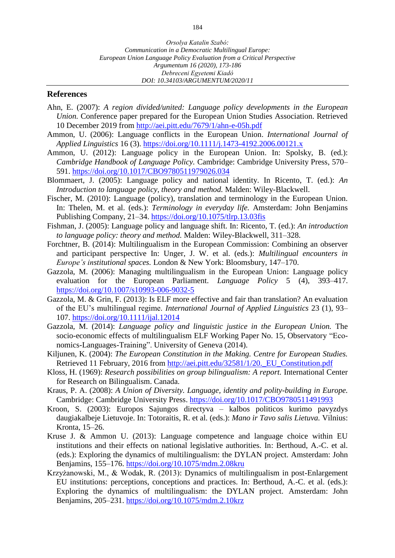## **References**

- Ahn, E. (2007): *A region divided/united: Language policy developments in the European Union.* Conference paper prepared for the European Union Studies Association. Retrieved 10 December 2019 from<http://aei.pitt.edu/7679/1/ahn-e-05h.pdf>
- Ammon, U. (2006): Language conflicts in the European Union. *International Journal of Applied Linguistics* 16 (3). <https://doi.org/10.1111/j.1473-4192.2006.00121.x>
- Ammon, U. (2012): Language policy in the European Union. In: Spolsky, B. (ed.): *Cambridge Handbook of Language Policy.* Cambridge: Cambridge University Press, 570– 591. <https://doi.org/10.1017/CBO9780511979026.034>
- Blommaert, J. (2005): Language policy and national identity. In Ricento, T. (ed.): *An Introduction to language policy, theory and method.* Malden: Wiley-Blackwell.
- Fischer, M. (2010): Language (policy), translation and terminology in the European Union. In: Thelen, M. et al. (eds.): *Terminology in everyday life.* Amsterdam: John Benjamins Publishing Company, 21–34. <https://doi.org/10.1075/tlrp.13.03fis>
- Fishman, J. (2005): Language policy and language shift. In: Ricento, T. (ed.): *An introduction to language policy: theory and method.* Malden: Wiley-Blackwell, 311–328.
- Forchtner, B. (2014): Multilingualism in the European Commission: Combining an observer and participant perspective In: Unger, J. W. et al. (eds.): *Multilingual encounters in Europe's institutional spaces.* London & New York: Bloomsbury, 147–170.
- Gazzola, M. (2006): Managing multilingualism in the European Union: Language policy evaluation for the European Parliament. *Language Policy* 5 (4), 393–417. <https://doi.org/10.1007/s10993-006-9032-5>
- Gazzola, M. & Grin, F. (2013): Is ELF more effective and fair than translation? An evaluation of the EU's multilingual regime. *International Journal of Applied Linguistics* 23 (1), 93– 107. <https://doi.org/10.1111/ijal.12014>
- Gazzola, M. (2014): *Language policy and linguistic justice in the European Union.* The socio-economic effects of multilingualism ELF Working Paper No. 15, Observatory "Economics-Languages-Training". University of Geneva (2014).
- Kiljunen, K. (2004): *The European Constitution in the Making. Centre for European Studies.* Retrieved 11 February, 2016 from [http://aei.pitt.edu/32581/1/20.\\_EU\\_Constitution.pdf](http://aei.pitt.edu/32581/1/20._EU_Constitution.pdf)
- Kloss, H. (1969): *Research possibilities on group bilingualism: A report.* International Center for Research on Bilingualism. Canada.
- Kraus, P. A. (2008): *A Union of Diversity. Language, identity and polity-building in Europe.* Cambridge: Cambridge University Press. <https://doi.org/10.1017/CBO9780511491993>
- Kroon, S. (2003): Europos Sajungos directyva kalbos politicos kurimo pavyzdys daugiakalbeje Lietuvoje. In: Totoraitis, R. et al. (eds.): *Mano ir Tavo salis Lietuva.* Vilnius: Kronta, 15–26.
- Kruse J. & Ammon U. (2013): Language competence and language choice within EU institutions and their effects on national legislative authorities. In: Berthoud, A.-C. et al. (eds.): Exploring the dynamics of multilingualism: the DYLAN project. Amsterdam: John Benjamins, 155–176.<https://doi.org/10.1075/mdm.2.08kru>
- Krzyżanowski, M., & Wodak, R. (2013): Dynamics of multilingualism in post-Enlargement EU institutions: perceptions, conceptions and practices. In: Berthoud, A.-C. et al. (eds.): Exploring the dynamics of multilingualism: the DYLAN project. Amsterdam: John Benjamins, 205–231.<https://doi.org/10.1075/mdm.2.10krz>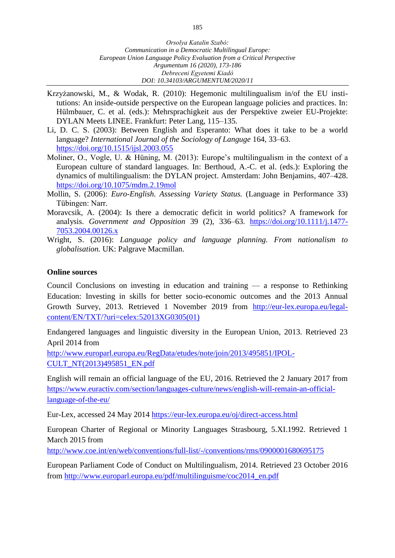- Krzyżanowski, M., & Wodak, R. (2010): Hegemonic multilingualism in/of the EU institutions: An inside-outside perspective on the European language policies and practices. In: Hülmbauer, C. et al. (eds.): Mehrsprachigkeit aus der Perspektive zweier EU-Projekte: DYLAN Meets LINEE. Frankfurt: Peter Lang, 115–135.
- Li, D. C. S. (2003): Between English and Esperanto: What does it take to be a world language? *International Journal of the Sociology of Languge* 164, 33–63. <https://doi.org/10.1515/ijsl.2003.055>
- Moliner, O., Vogle, U. & Hüning, M. (2013): Europe's multilingualism in the context of a European culture of standard languages. In: Berthoud, A.-C. et al. (eds.): Exploring the dynamics of multilingualism: the DYLAN project. Amsterdam: John Benjamins, 407–428. <https://doi.org/10.1075/mdm.2.19mol>
- Mollin, S. (2006): *Euro-English. Assessing Variety Status.* (Language in Performance 33) Tübingen: Narr.
- Moravcsik, A. (2004): Is there a democratic deficit in world politics? A framework for analysis. *Government and Opposition* 39 (2), 336–63. [https://doi.org/10.1111/j.1477-](https://doi.org/10.1111/j.1477-7053.2004.00126.x) [7053.2004.00126.x](https://doi.org/10.1111/j.1477-7053.2004.00126.x)
- Wright, S. (2016): *Language policy and language planning. From nationalism to globalisation.* UK: Palgrave Macmillan.

#### **Online sources**

Council Conclusions on investing in education and training — a response to Rethinking Education: Investing in skills for better socio-economic outcomes and the 2013 Annual Growth Survey, 2013. Retrieved 1 November 2019 from [http://eur-lex.europa.eu/legal](http://eur-lex.europa.eu/legal-content/EN/TXT/?uri=celex:52013XG0305(01))[content/EN/TXT/?uri=celex:52013XG0305\(01\)](http://eur-lex.europa.eu/legal-content/EN/TXT/?uri=celex:52013XG0305(01))

Endangered languages and linguistic diversity in the European Union, 2013. Retrieved 23 April 2014 from

[http://www.europarl.europa.eu/RegData/etudes/note/join/2013/495851/IPOL-](http://www.europarl.europa.eu/RegData/etudes/note/join/2013/495851/IPOL-CULT_NT(2013)495851_EN.pdf)[CULT\\_NT\(2013\)495851\\_EN.pdf](http://www.europarl.europa.eu/RegData/etudes/note/join/2013/495851/IPOL-CULT_NT(2013)495851_EN.pdf)

English will remain an official language of the EU, 2016. Retrieved the 2 January 2017 from [https://www.euractiv.com/section/languages-culture/news/english-will-remain-an-official](https://www.euractiv.com/section/languages-culture/news/english-will-remain-an-official-language-of-the-eu/)[language-of-the-eu/](https://www.euractiv.com/section/languages-culture/news/english-will-remain-an-official-language-of-the-eu/)

Eur-Lex, accessed 24 May 2014<https://eur-lex.europa.eu/oj/direct-access.html>

European Charter of Regional or Minority Languages Strasbourg, 5.XI.1992. Retrieved 1 March 2015 from

<http://www.coe.int/en/web/conventions/full-list/-/conventions/rms/0900001680695175>

European Parliament Code of Conduct on Multilingualism, 2014. Retrieved 23 October 2016 from [http://www.europarl.europa.eu/pdf/multilinguisme/coc2014\\_en.pdf](http://www.europarl.europa.eu/pdf/multilinguisme/coc2014_en.pdf)